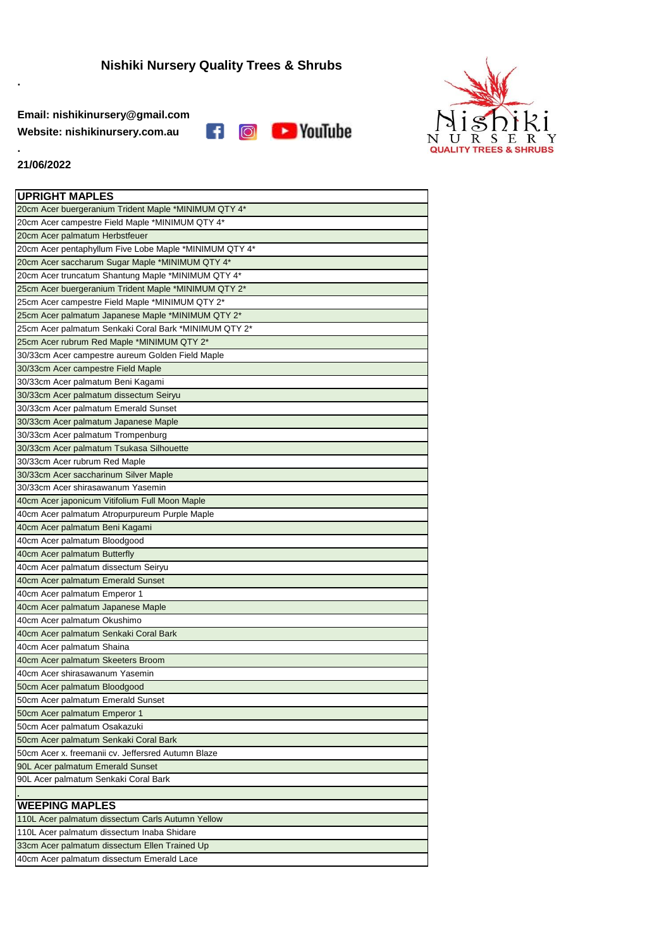**Email: nishikinursery@gmail.com Website: nishikinursery.com.au**





## **21/06/2022**

**.**

**.**

| <b>UPRIGHT MAPLES</b>                                  |
|--------------------------------------------------------|
| 20cm Acer buergeranium Trident Maple *MINIMUM QTY 4*   |
| 20cm Acer campestre Field Maple *MINIMUM QTY 4*        |
| 20cm Acer palmatum Herbstfeuer                         |
| 20cm Acer pentaphyllum Five Lobe Maple *MINIMUM QTY 4* |
| 20cm Acer saccharum Sugar Maple *MINIMUM QTY 4*        |
| 20cm Acer truncatum Shantung Maple *MINIMUM QTY 4*     |
| 25cm Acer buergeranium Trident Maple *MINIMUM QTY 2*   |
| 25cm Acer campestre Field Maple *MINIMUM QTY 2*        |
| 25cm Acer palmatum Japanese Maple *MINIMUM QTY 2*      |
| 25cm Acer palmatum Senkaki Coral Bark *MINIMUM QTY 2*  |
| 25cm Acer rubrum Red Maple *MINIMUM QTY 2*             |
| 30/33cm Acer campestre aureum Golden Field Maple       |
| 30/33cm Acer campestre Field Maple                     |
| 30/33cm Acer palmatum Beni Kagami                      |
| 30/33cm Acer palmatum dissectum Seiryu                 |
| 30/33cm Acer palmatum Emerald Sunset                   |
| 30/33cm Acer palmatum Japanese Maple                   |
| 30/33cm Acer palmatum Trompenburg                      |
| 30/33cm Acer palmatum Tsukasa Silhouette               |
| 30/33cm Acer rubrum Red Maple                          |
| 30/33cm Acer saccharinum Silver Maple                  |
| 30/33cm Acer shirasawanum Yasemin                      |
| 40cm Acer japonicum Vitifolium Full Moon Maple         |
| 40cm Acer palmatum Atropurpureum Purple Maple          |
| 40cm Acer palmatum Beni Kagami                         |
| 40cm Acer palmatum Bloodgood                           |
| 40cm Acer palmatum Butterfly                           |
| 40cm Acer palmatum dissectum Seiryu                    |
| 40cm Acer palmatum Emerald Sunset                      |
| 40cm Acer palmatum Emperor 1                           |
| 40cm Acer palmatum Japanese Maple                      |
| 40cm Acer palmatum Okushimo                            |
| 40cm Acer palmatum Senkaki Coral Bark                  |
| 40cm Acer palmatum Shaina                              |
| 40cm Acer palmatum Skeeters Broom                      |
| 40cm Acer shirasawanum Yasemin                         |
| 50cm Acer palmatum Bloodgood                           |
| 50cm Acer palmatum Emerald Sunset                      |
| 50cm Acer palmatum Emperor 1                           |
| 50cm Acer palmatum Osakazuki                           |
| 50cm Acer palmatum Senkaki Coral Bark                  |
| 50cm Acer x. freemanii cv. Jeffersred Autumn Blaze     |
| 90L Acer palmatum Emerald Sunset                       |
| 90L Acer palmatum Senkaki Coral Bark                   |
|                                                        |
| <b>WEEPING MAPLES</b>                                  |
| 110L Acer palmatum dissectum Carls Autumn Yellow       |
| 110L Acer palmatum dissectum Inaba Shidare             |
| 33cm Acer palmatum dissectum Ellen Trained Up          |
| 40cm Acer palmatum dissectum Emerald Lace              |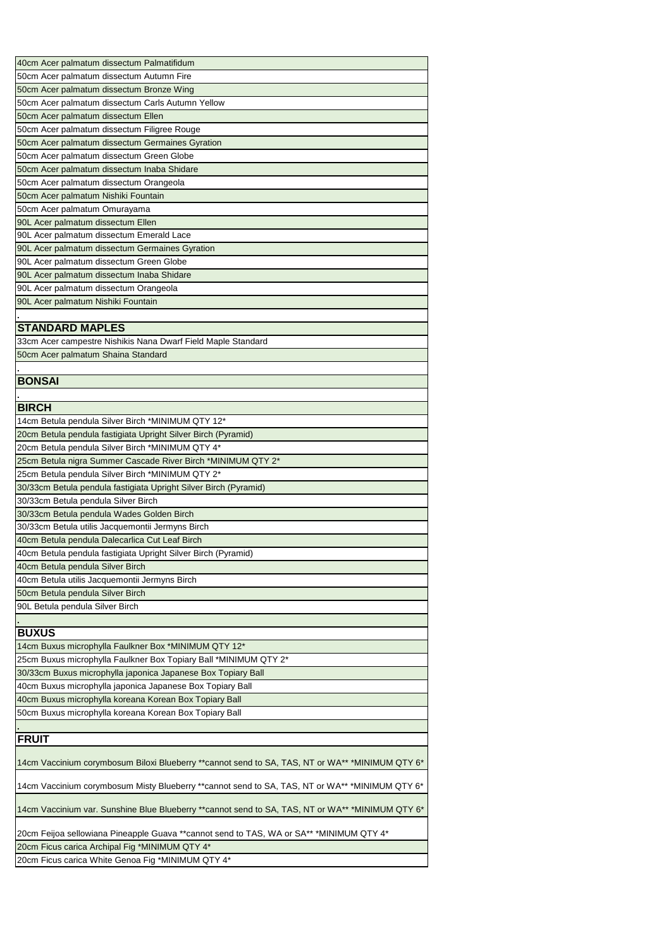| 40cm Acer palmatum dissectum Palmatifidum                                                                                                 |
|-------------------------------------------------------------------------------------------------------------------------------------------|
| 50cm Acer palmatum dissectum Autumn Fire                                                                                                  |
| 50cm Acer palmatum dissectum Bronze Wing                                                                                                  |
| 50cm Acer palmatum dissectum Carls Autumn Yellow                                                                                          |
| 50cm Acer palmatum dissectum Ellen                                                                                                        |
| 50cm Acer palmatum dissectum Filigree Rouge                                                                                               |
| 50cm Acer palmatum dissectum Germaines Gyration                                                                                           |
| 50cm Acer palmatum dissectum Green Globe                                                                                                  |
| 50cm Acer palmatum dissectum Inaba Shidare                                                                                                |
| 50cm Acer palmatum dissectum Orangeola                                                                                                    |
| 50cm Acer palmatum Nishiki Fountain                                                                                                       |
| 50cm Acer palmatum Omurayama                                                                                                              |
| 90L Acer palmatum dissectum Ellen                                                                                                         |
| 90L Acer palmatum dissectum Emerald Lace                                                                                                  |
| 90L Acer palmatum dissectum Germaines Gyration                                                                                            |
| 90L Acer palmatum dissectum Green Globe                                                                                                   |
| 90L Acer palmatum dissectum Inaba Shidare                                                                                                 |
| 90L Acer palmatum dissectum Orangeola                                                                                                     |
| 90L Acer palmatum Nishiki Fountain                                                                                                        |
|                                                                                                                                           |
|                                                                                                                                           |
| <b>STANDARD MAPLES</b>                                                                                                                    |
| 33cm Acer campestre Nishikis Nana Dwarf Field Maple Standard                                                                              |
| 50cm Acer palmatum Shaina Standard                                                                                                        |
|                                                                                                                                           |
| <b>BONSAI</b>                                                                                                                             |
|                                                                                                                                           |
| <b>BIRCH</b>                                                                                                                              |
| 14cm Betula pendula Silver Birch *MINIMUM QTY 12*                                                                                         |
| 20cm Betula pendula fastigiata Upright Silver Birch (Pyramid)                                                                             |
| 20cm Betula pendula Silver Birch *MINIMUM QTY 4*                                                                                          |
| 25cm Betula nigra Summer Cascade River Birch *MINIMUM QTY 2*                                                                              |
| 25cm Betula pendula Silver Birch *MINIMUM QTY 2*                                                                                          |
| 30/33cm Betula pendula fastigiata Upright Silver Birch (Pyramid)                                                                          |
| 30/33cm Betula pendula Silver Birch                                                                                                       |
| 30/33cm Betula pendula Wades Golden Birch                                                                                                 |
| 30/33cm Betula utilis Jacquemontii Jermyns Birch                                                                                          |
| 40cm Betula pendula Dalecarlica Cut Leaf Birch                                                                                            |
| 40cm Betula pendula fastigiata Upright Silver Birch (Pyramid)                                                                             |
| 40cm Betula pendula Silver Birch                                                                                                          |
| 40cm Betula utilis Jacquemontii Jermyns Birch                                                                                             |
| 50cm Betula pendula Silver Birch                                                                                                          |
| 90L Betula pendula Silver Birch                                                                                                           |
|                                                                                                                                           |
| <b>BUXUS</b>                                                                                                                              |
| 14cm Buxus microphylla Faulkner Box *MINIMUM QTY 12*                                                                                      |
| 25cm Buxus microphylla Faulkner Box Topiary Ball *MINIMUM QTY 2*                                                                          |
| 30/33cm Buxus microphylla japonica Japanese Box Topiary Ball                                                                              |
| 40cm Buxus microphylla japonica Japanese Box Topiary Ball                                                                                 |
| 40cm Buxus microphylla koreana Korean Box Topiary Ball                                                                                    |
| 50cm Buxus microphylla koreana Korean Box Topiary Ball                                                                                    |
|                                                                                                                                           |
| <b>FRUIT</b>                                                                                                                              |
| 14cm Vaccinium corymbosum Biloxi Blueberry **cannot send to SA, TAS, NT or WA** *MINIMUM QTY 6*                                           |
| *14cm Vaccinium corymbosum Misty Blueberry **cannot send to SA, TAS, NT or WA** *MINIMUM QTY 6                                            |
| 14cm Vaccinium var. Sunshine Blue Blueberry **cannot send to SA, TAS, NT or WA** *MINIMUM QTY 6*                                          |
| 20cm Feijoa sellowiana Pineapple Guava **cannot send to TAS, WA or SA** *MINIMUM QTY 4*<br>20cm Ficus carica Archipal Fig *MINIMUM QTY 4* |
|                                                                                                                                           |
| 20cm Ficus carica White Genoa Fig *MINIMUM QTY 4*                                                                                         |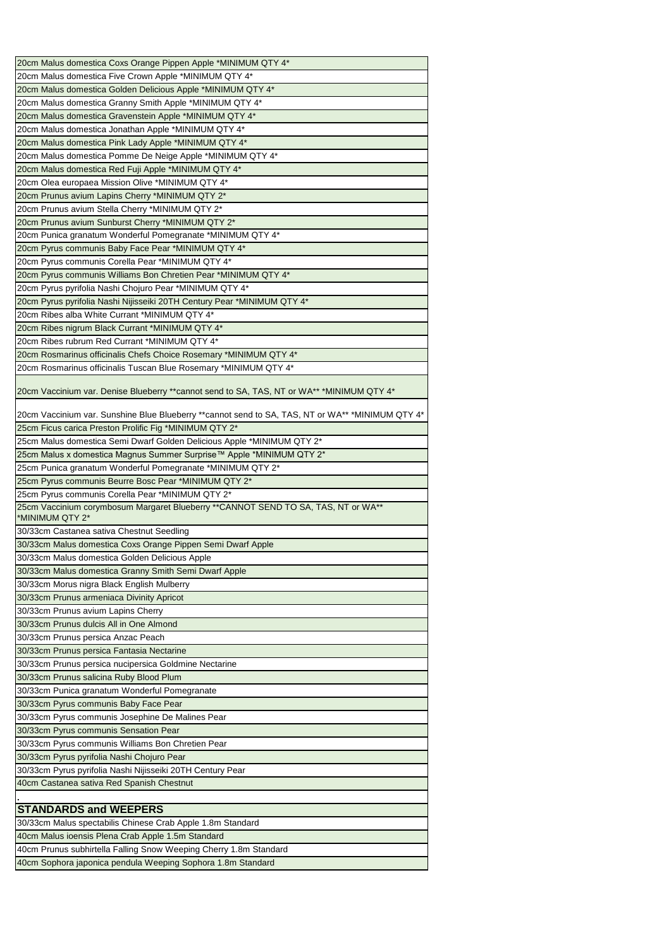| 20cm Malus domestica Coxs Orange Pippen Apple *MINIMUM QTY 4*                                         |
|-------------------------------------------------------------------------------------------------------|
| 20cm Malus domestica Five Crown Apple *MINIMUM QTY 4*                                                 |
| 20cm Malus domestica Golden Delicious Apple *MINIMUM QTY 4*                                           |
| 20cm Malus domestica Granny Smith Apple *MINIMUM QTY 4*                                               |
| 20cm Malus domestica Gravenstein Apple *MINIMUM QTY 4*                                                |
| 20cm Malus domestica Jonathan Apple *MINIMUM QTY 4*                                                   |
| 20cm Malus domestica Pink Lady Apple *MINIMUM QTY 4*                                                  |
| 20cm Malus domestica Pomme De Neige Apple *MINIMUM QTY 4*                                             |
| 20cm Malus domestica Red Fuji Apple *MINIMUM QTY 4*                                                   |
| 20cm Olea europaea Mission Olive *MINIMUM QTY 4*                                                      |
| 20cm Prunus avium Lapins Cherry *MINIMUM QTY 2*                                                       |
| 20cm Prunus avium Stella Cherry *MINIMUM QTY 2*                                                       |
| 20cm Prunus avium Sunburst Cherry *MINIMUM QTY 2*                                                     |
| 20cm Punica granatum Wonderful Pomegranate *MINIMUM QTY 4*                                            |
| 20cm Pyrus communis Baby Face Pear *MINIMUM QTY 4*                                                    |
| 20cm Pyrus communis Corella Pear *MINIMUM QTY 4*                                                      |
| 20cm Pyrus communis Williams Bon Chretien Pear *MINIMUM QTY 4*                                        |
| 20cm Pyrus pyrifolia Nashi Chojuro Pear *MINIMUM QTY 4*                                               |
| 20cm Pyrus pyrifolia Nashi Nijisseiki 20TH Century Pear *MINIMUM QTY 4*                               |
| 20cm Ribes alba White Currant *MINIMUM QTY 4*                                                         |
| 20cm Ribes nigrum Black Currant *MINIMUM QTY 4*                                                       |
| 20cm Ribes rubrum Red Currant *MINIMUM QTY 4*                                                         |
| 20cm Rosmarinus officinalis Chefs Choice Rosemary *MINIMUM QTY 4*                                     |
| 20cm Rosmarinus officinalis Tuscan Blue Rosemary *MINIMUM QTY 4*                                      |
|                                                                                                       |
| 20cm Vaccinium var. Denise Blueberry **cannot send to SA, TAS, NT or WA** *MINIMUM QTY 4*             |
| 20cm Vaccinium var. Sunshine Blue Blueberry **cannot send to SA, TAS, NT or WA** *MINIMUM QTY 4*      |
| 25cm Ficus carica Preston Prolific Fig *MINIMUM QTY 2*                                                |
| 25cm Malus domestica Semi Dwarf Golden Delicious Apple *MINIMUM QTY 2*                                |
| 25cm Malus x domestica Magnus Summer Surprise™ Apple *MINIMUM QTY 2*                                  |
| 25cm Punica granatum Wonderful Pomegranate *MINIMUM QTY 2*                                            |
|                                                                                                       |
|                                                                                                       |
| 25cm Pyrus communis Beurre Bosc Pear *MINIMUM QTY 2*                                                  |
| 25cm Pyrus communis Corella Pear *MINIMUM QTY 2*                                                      |
| 25cm Vaccinium corymbosum Margaret Blueberry ** CANNOT SEND TO SA, TAS, NT or WA**<br>*MINIMUM QTY 2* |
| 30/33cm Castanea sativa Chestnut Seedling                                                             |
| 30/33cm Malus domestica Coxs Orange Pippen Semi Dwarf Apple                                           |
| 30/33cm Malus domestica Golden Delicious Apple                                                        |
| 30/33cm Malus domestica Granny Smith Semi Dwarf Apple                                                 |
| 30/33cm Morus nigra Black English Mulberry                                                            |
| 30/33cm Prunus armeniaca Divinity Apricot                                                             |
| 30/33cm Prunus avium Lapins Cherry                                                                    |
| 30/33cm Prunus dulcis All in One Almond                                                               |
| 30/33cm Prunus persica Anzac Peach                                                                    |
| 30/33cm Prunus persica Fantasia Nectarine                                                             |
| 30/33cm Prunus persica nucipersica Goldmine Nectarine                                                 |
| 30/33cm Prunus salicina Ruby Blood Plum                                                               |
| 30/33cm Punica granatum Wonderful Pomegranate                                                         |
| 30/33cm Pyrus communis Baby Face Pear                                                                 |
| 30/33cm Pyrus communis Josephine De Malines Pear                                                      |
| 30/33cm Pyrus communis Sensation Pear                                                                 |
| 30/33cm Pyrus communis Williams Bon Chretien Pear                                                     |
| 30/33cm Pyrus pyrifolia Nashi Chojuro Pear                                                            |
| 30/33cm Pyrus pyrifolia Nashi Nijisseiki 20TH Century Pear                                            |
| 40cm Castanea sativa Red Spanish Chestnut                                                             |
|                                                                                                       |
| <b>STANDARDS and WEEPERS</b>                                                                          |
| 30/33cm Malus spectabilis Chinese Crab Apple 1.8m Standard                                            |
| 40cm Malus ioensis Plena Crab Apple 1.5m Standard                                                     |
| 40cm Prunus subhirtella Falling Snow Weeping Cherry 1.8m Standard                                     |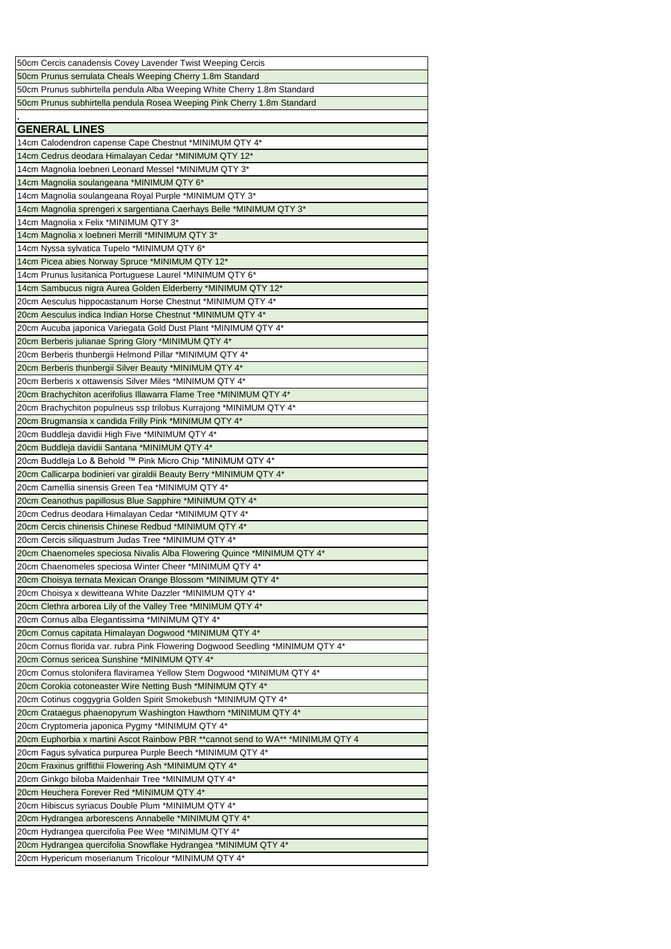| 50cm Cercis canadensis Covey Lavender Twist Weeping Cercis                      |
|---------------------------------------------------------------------------------|
| 50cm Prunus serrulata Cheals Weeping Cherry 1.8m Standard                       |
| 50cm Prunus subhirtella pendula Alba Weeping White Cherry 1.8m Standard         |
| 50cm Prunus subhirtella pendula Rosea Weeping Pink Cherry 1.8m Standard         |
|                                                                                 |
| <b>GENERAL LINES</b>                                                            |
| 14cm Calodendron capense Cape Chestnut *MINIMUM QTY 4*                          |
| 14cm Cedrus deodara Himalayan Cedar *MINIMUM QTY 12*                            |
| 14cm Magnolia loebneri Leonard Messel *MINIMUM QTY 3*                           |
| 14cm Magnolia soulangeana *MINIMUM QTY 6*                                       |
| 14cm Magnolia soulangeana Royal Purple *MINIMUM QTY 3*                          |
| 14cm Magnolia sprengeri x sargentiana Caerhays Belle *MINIMUM QTY 3*            |
| 14cm Magnolia x Felix *MINIMUM QTY 3*                                           |
| 14cm Magnolia x loebneri Merrill *MINIMUM QTY 3*                                |
| 14cm Nyssa sylvatica Tupelo *MINIMUM QTY 6*                                     |
| 14cm Picea abies Norway Spruce *MINIMUM QTY 12*                                 |
| 14cm Prunus Iusitanica Portuguese Laurel *MINIMUM QTY 6*                        |
| 14cm Sambucus nigra Aurea Golden Elderberry *MINIMUM QTY 12*                    |
| 20cm Aesculus hippocastanum Horse Chestnut *MINIMUM QTY 4*                      |
| 20cm Aesculus indica Indian Horse Chestnut *MINIMUM QTY 4*                      |
| 20cm Aucuba japonica Variegata Gold Dust Plant *MINIMUM QTY 4*                  |
| 20cm Berberis julianae Spring Glory *MINIMUM QTY 4*                             |
| 20cm Berberis thunbergii Helmond Pillar *MINIMUM QTY 4*                         |
| 20cm Berberis thunbergii Silver Beauty *MINIMUM QTY 4*                          |
| 20cm Berberis x ottawensis Silver Miles *MINIMUM QTY 4*                         |
| 20cm Brachychiton acerifolius Illawarra Flame Tree *MINIMUM QTY 4*              |
| 20cm Brachychiton populneus ssp trilobus Kurrajong *MINIMUM QTY 4*              |
|                                                                                 |
| 20cm Brugmansia x candida Frilly Pink *MINIMUM QTY 4*                           |
| 20cm Buddleja davidii High Five *MINIMUM QTY 4*                                 |
| 20cm Buddleja davidii Santana *MINIMUM QTY 4*                                   |
| 20cm Buddleja Lo & Behold ™ Pink Micro Chip *MINIMUM QTY 4*                     |
| 20cm Callicarpa bodinieri var giraldii Beauty Berry *MINIMUM QTY 4*             |
| 20cm Camellia sinensis Green Tea *MINIMUM QTY 4*                                |
| 20cm Ceanothus papillosus Blue Sapphire *MINIMUM QTY 4*                         |
| 20cm Cedrus deodara Himalayan Cedar *MINIMUM QTY 4*                             |
| 20cm Cercis chinensis Chinese Redbud *MINIMUM QTY 4*                            |
| 20cm Cercis siliquastrum Judas Tree *MINIMUM QTY 4*                             |
| 20cm Chaenomeles speciosa Nivalis Alba Flowering Quince *MINIMUM QTY 4*         |
| 20cm Chaenomeles speciosa Winter Cheer *MINIMUM QTY 4*                          |
| 20cm Choisya ternata Mexican Orange Blossom *MINIMUM QTY 4*                     |
| 20cm Choisya x dewitteana White Dazzler *MINIMUM QTY 4*                         |
| 20cm Clethra arborea Lily of the Valley Tree *MINIMUM QTY 4*                    |
| 20cm Cornus alba Elegantissima *MINIMUM QTY 4*                                  |
| 20cm Cornus capitata Himalayan Dogwood *MINIMUM QTY 4*                          |
| 20cm Cornus florida var. rubra Pink Flowering Dogwood Seedling *MINIMUM QTY 4*  |
| 20cm Cornus sericea Sunshine *MINIMUM QTY 4*                                    |
| 20cm Cornus stolonifera flaviramea Yellow Stem Dogwood *MINIMUM QTY 4*          |
| 20cm Corokia cotoneaster Wire Netting Bush *MINIMUM QTY 4*                      |
| 20cm Cotinus coggygria Golden Spirit Smokebush *MINIMUM QTY 4*                  |
| 20cm Crataegus phaenopyrum Washington Hawthorn *MINIMUM QTY 4*                  |
| 20cm Cryptomeria japonica Pygmy *MINIMUM QTY 4*                                 |
| 20cm Euphorbia x martini Ascot Rainbow PBR **cannot send to WA** *MINIMUM QTY 4 |
| 20cm Fagus sylvatica purpurea Purple Beech *MINIMUM QTY 4*                      |
| 20cm Fraxinus griffithii Flowering Ash *MINIMUM QTY 4*                          |
| 20cm Ginkgo biloba Maidenhair Tree *MINIMUM QTY 4*                              |
| 20cm Heuchera Forever Red *MINIMUM QTY 4*                                       |
| 20cm Hibiscus syriacus Double Plum *MINIMUM QTY 4*                              |
| 20cm Hydrangea arborescens Annabelle *MINIMUM QTY 4*                            |
| 20cm Hydrangea quercifolia Pee Wee *MINIMUM QTY 4*                              |
| 20cm Hydrangea quercifolia Snowflake Hydrangea *MINIMUM QTY 4*                  |
| 20cm Hypericum moserianum Tricolour *MINIMUM QTY 4*                             |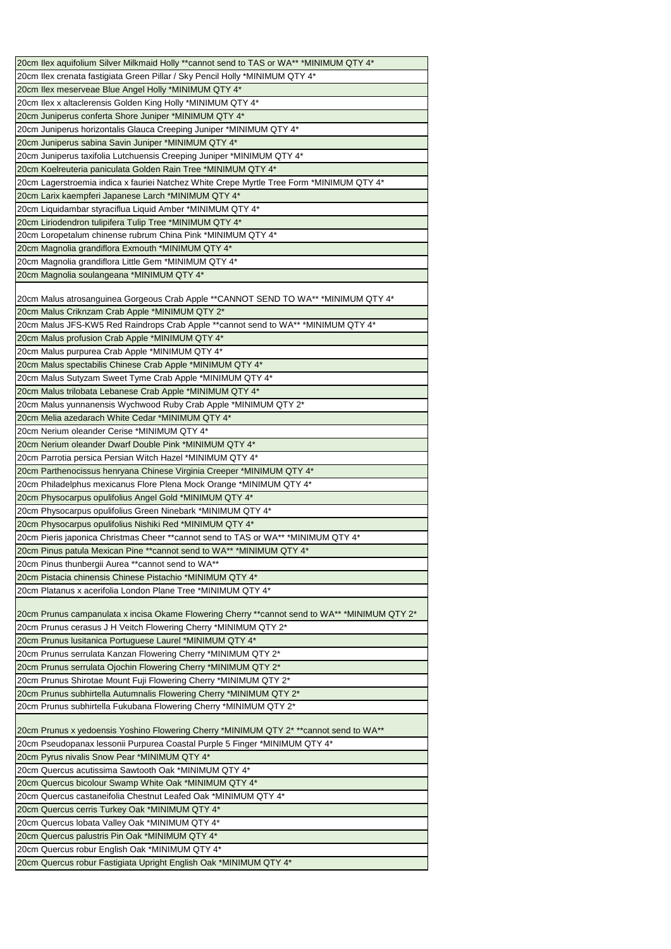| 20cm Ilex aquifolium Silver Milkmaid Holly ** cannot send to TAS or WA** *MINIMUM QTY 4*        |
|-------------------------------------------------------------------------------------------------|
| 20cm Ilex crenata fastigiata Green Pillar / Sky Pencil Holly *MINIMUM QTY 4*                    |
| 20cm Ilex meserveae Blue Angel Holly *MINIMUM QTY 4*                                            |
| 20cm Ilex x altaclerensis Golden King Holly *MINIMUM QTY 4*                                     |
| 20cm Juniperus conferta Shore Juniper *MINIMUM QTY 4*                                           |
| 20cm Juniperus horizontalis Glauca Creeping Juniper *MINIMUM QTY 4*                             |
| 20cm Juniperus sabina Savin Juniper *MINIMUM QTY 4*                                             |
| 20cm Juniperus taxifolia Lutchuensis Creeping Juniper *MINIMUM QTY 4*                           |
| 20cm Koelreuteria paniculata Golden Rain Tree *MINIMUM QTY 4*                                   |
| 20cm Lagerstroemia indica x fauriei Natchez White Crepe Myrtle Tree Form *MINIMUM QTY 4*        |
| 20cm Larix kaempferi Japanese Larch *MINIMUM QTY 4*                                             |
| 20cm Liquidambar styraciflua Liquid Amber *MINIMUM QTY 4*                                       |
| 20cm Liriodendron tulipifera Tulip Tree *MINIMUM QTY 4*                                         |
| 20cm Loropetalum chinense rubrum China Pink *MINIMUM QTY 4*                                     |
|                                                                                                 |
| 20cm Magnolia grandiflora Exmouth *MINIMUM QTY 4*                                               |
| 20cm Magnolia grandiflora Little Gem *MINIMUM QTY 4*                                            |
| 20cm Magnolia soulangeana *MINIMUM QTY 4*                                                       |
| 20cm Malus atrosanguinea Gorgeous Crab Apple **CANNOT SEND TO WA** *MINIMUM QTY 4*              |
| 20cm Malus Criknzam Crab Apple *MINIMUM QTY 2*                                                  |
| 20cm Malus JFS-KW5 Red Raindrops Crab Apple ** cannot send to WA** * MINIMUM QTY 4*             |
| 20cm Malus profusion Crab Apple *MINIMUM QTY 4*                                                 |
|                                                                                                 |
| 20cm Malus purpurea Crab Apple *MINIMUM QTY 4*                                                  |
| 20cm Malus spectabilis Chinese Crab Apple *MINIMUM QTY 4*                                       |
| 20cm Malus Sutyzam Sweet Tyme Crab Apple *MINIMUM QTY 4*                                        |
| 20cm Malus trilobata Lebanese Crab Apple *MINIMUM QTY 4*                                        |
| 20cm Malus yunnanensis Wychwood Ruby Crab Apple *MINIMUM QTY 2*                                 |
| 20cm Melia azedarach White Cedar *MINIMUM QTY 4*                                                |
| 20cm Nerium oleander Cerise *MINIMUM QTY 4*                                                     |
| 20cm Nerium oleander Dwarf Double Pink *MINIMUM QTY 4*                                          |
| 20cm Parrotia persica Persian Witch Hazel *MINIMUM QTY 4*                                       |
| 20cm Parthenocissus henryana Chinese Virginia Creeper *MINIMUM QTY 4*                           |
| 20cm Philadelphus mexicanus Flore Plena Mock Orange *MINIMUM QTY 4*                             |
| 20cm Physocarpus opulifolius Angel Gold *MINIMUM QTY 4*                                         |
| 20cm Physocarpus opulifolius Green Ninebark *MINIMUM QTY 4*                                     |
| 20cm Physocarpus opulifolius Nishiki Red *MINIMUM QTY 4*                                        |
| 20cm Pieris japonica Christmas Cheer **cannot send to TAS or WA** *MINIMUM QTY 4*               |
| 20cm Pinus patula Mexican Pine ** cannot send to WA** * MINIMUM QTY 4*                          |
| 20cm Pinus thunbergii Aurea ** cannot send to WA**                                              |
| 20cm Pistacia chinensis Chinese Pistachio *MINIMUM QTY 4*                                       |
| 20cm Platanus x acerifolia London Plane Tree *MINIMUM QTY 4*                                    |
|                                                                                                 |
| 20cm Prunus campanulata x incisa Okame Flowering Cherry ** cannot send to WA** * MINIMUM QTY 2* |
| 20cm Prunus cerasus J H Veitch Flowering Cherry *MINIMUM QTY 2*                                 |
| 20cm Prunus Iusitanica Portuguese Laurel *MINIMUM QTY 4*                                        |
| 20cm Prunus serrulata Kanzan Flowering Cherry *MINIMUM QTY 2*                                   |
| 20cm Prunus serrulata Ojochin Flowering Cherry *MINIMUM QTY 2*                                  |
| 20cm Prunus Shirotae Mount Fuji Flowering Cherry *MINIMUM QTY 2*                                |
| 20cm Prunus subhirtella Autumnalis Flowering Cherry *MINIMUM QTY 2*                             |
| 20cm Prunus subhirtella Fukubana Flowering Cherry *MINIMUM QTY 2*                               |
|                                                                                                 |
| 20cm Prunus x yedoensis Yoshino Flowering Cherry *MINIMUM QTY 2* ** cannot send to WA**         |
| 20cm Pseudopanax lessonii Purpurea Coastal Purple 5 Finger *MINIMUM QTY 4*                      |
| 20cm Pyrus nivalis Snow Pear *MINIMUM QTY 4*                                                    |
| 20cm Quercus acutissima Sawtooth Oak *MINIMUM QTY 4*                                            |
| 20cm Quercus bicolour Swamp White Oak *MINIMUM QTY 4*                                           |
| 20cm Quercus castaneifolia Chestnut Leafed Oak *MINIMUM QTY 4*                                  |
| 20cm Quercus cerris Turkey Oak *MINIMUM QTY 4*                                                  |
| 20cm Quercus lobata Valley Oak *MINIMUM QTY 4*                                                  |
| 20cm Quercus palustris Pin Oak *MINIMUM QTY 4*                                                  |
| 20cm Quercus robur English Oak *MINIMUM QTY 4*                                                  |
| 20cm Quercus robur Fastigiata Upright English Oak *MINIMUM QTY 4*                               |
|                                                                                                 |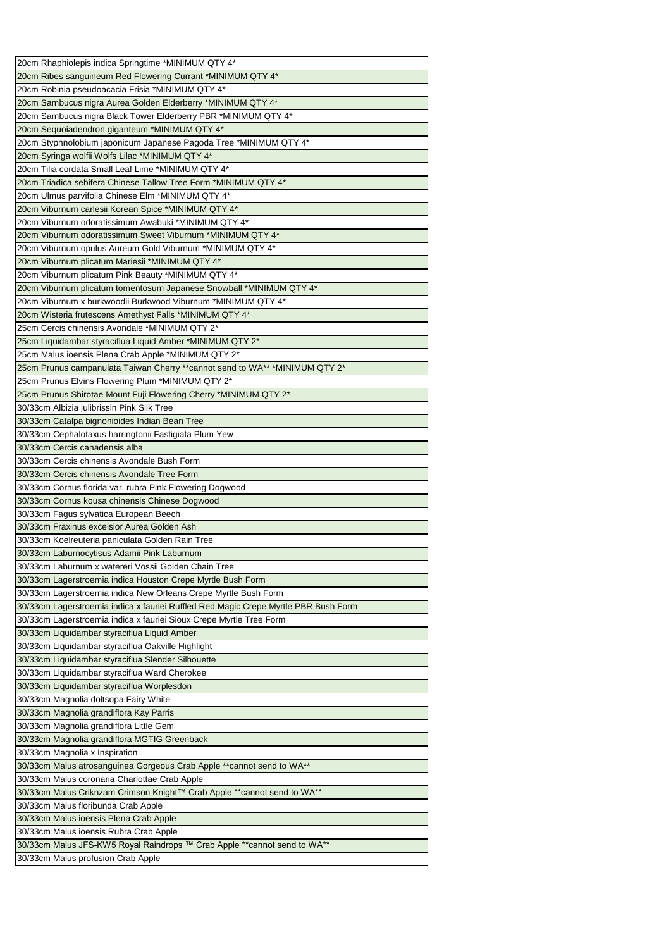| 20cm Rhaphiolepis indica Springtime *MINIMUM QTY 4*                                                             |
|-----------------------------------------------------------------------------------------------------------------|
| 20cm Ribes sanguineum Red Flowering Currant *MINIMUM QTY 4*                                                     |
| 20cm Robinia pseudoacacia Frisia *MINIMUM QTY 4*                                                                |
| 20cm Sambucus nigra Aurea Golden Elderberry *MINIMUM QTY 4*                                                     |
| 20cm Sambucus nigra Black Tower Elderberry PBR *MINIMUM QTY 4*                                                  |
| 20cm Sequoiadendron giganteum *MINIMUM QTY 4*                                                                   |
| 20cm Styphnolobium japonicum Japanese Pagoda Tree *MINIMUM QTY 4*                                               |
| 20cm Syringa wolfii Wolfs Lilac *MINIMUM QTY 4*                                                                 |
| 20cm Tilia cordata Small Leaf Lime *MINIMUM QTY 4*                                                              |
| 20cm Triadica sebifera Chinese Tallow Tree Form *MINIMUM QTY 4*                                                 |
| 20cm Ulmus parvifolia Chinese Elm *MINIMUM QTY 4*                                                               |
| 20cm Viburnum carlesii Korean Spice *MINIMUM QTY 4*                                                             |
| 20cm Viburnum odoratissimum Awabuki *MINIMUM QTY 4*                                                             |
| 20cm Viburnum odoratissimum Sweet Viburnum *MINIMUM QTY 4*                                                      |
| 20cm Viburnum opulus Aureum Gold Viburnum *MINIMUM QTY 4*                                                       |
| 20cm Viburnum plicatum Mariesii *MINIMUM QTY 4*                                                                 |
| 20cm Viburnum plicatum Pink Beauty *MINIMUM QTY 4*                                                              |
| 20cm Viburnum plicatum tomentosum Japanese Snowball *MINIMUM QTY 4*                                             |
| 20cm Viburnum x burkwoodii Burkwood Viburnum *MINIMUM QTY 4*                                                    |
| 20cm Wisteria frutescens Amethyst Falls *MINIMUM QTY 4*                                                         |
| 25cm Cercis chinensis Avondale *MINIMUM QTY 2*                                                                  |
| 25cm Liquidambar styraciflua Liquid Amber *MINIMUM QTY 2*                                                       |
| 25cm Malus ioensis Plena Crab Apple *MINIMUM QTY 2*                                                             |
|                                                                                                                 |
| 25cm Prunus campanulata Taiwan Cherry **cannot send to WA** *MINIMUM QTY 2*                                     |
| 25cm Prunus Elvins Flowering Plum *MINIMUM QTY 2*                                                               |
| 25cm Prunus Shirotae Mount Fuji Flowering Cherry *MINIMUM QTY 2*                                                |
| 30/33cm Albizia julibrissin Pink Silk Tree                                                                      |
| 30/33cm Catalpa bignonioides Indian Bean Tree                                                                   |
| 30/33cm Cephalotaxus harringtonii Fastigiata Plum Yew                                                           |
| 30/33cm Cercis canadensis alba                                                                                  |
| 30/33cm Cercis chinensis Avondale Bush Form                                                                     |
| 30/33cm Cercis chinensis Avondale Tree Form                                                                     |
| 30/33cm Cornus florida var. rubra Pink Flowering Dogwood                                                        |
| 30/33cm Cornus kousa chinensis Chinese Dogwood                                                                  |
| 30/33cm Fagus sylvatica European Beech                                                                          |
| 30/33cm Fraxinus excelsior Aurea Golden Ash                                                                     |
| 30/33cm Koelreuteria paniculata Golden Rain Tree                                                                |
| 30/33cm Laburnocytisus Adamii Pink Laburnum                                                                     |
| 30/33cm Laburnum x watereri Vossii Golden Chain Tree                                                            |
| 30/33cm Lagerstroemia indica Houston Crepe Myrtle Bush Form                                                     |
| 30/33cm Lagerstroemia indica New Orleans Crepe Myrtle Bush Form                                                 |
|                                                                                                                 |
| 30/33cm Lagerstroemia indica x fauriei Ruffled Red Magic Crepe Myrtle PBR Bush Form                             |
| 30/33cm Lagerstroemia indica x fauriei Sioux Crepe Myrtle Tree Form                                             |
| 30/33cm Liquidambar styraciflua Liquid Amber                                                                    |
| 30/33cm Liquidambar styraciflua Oakville Highlight                                                              |
| 30/33cm Liquidambar styraciflua Slender Silhouette                                                              |
| 30/33cm Liquidambar styraciflua Ward Cherokee                                                                   |
| 30/33cm Liquidambar styraciflua Worplesdon                                                                      |
| 30/33cm Magnolia doltsopa Fairy White                                                                           |
| 30/33cm Magnolia grandiflora Kay Parris                                                                         |
| 30/33cm Magnolia grandiflora Little Gem                                                                         |
| 30/33cm Magnolia grandiflora MGTIG Greenback                                                                    |
| 30/33cm Magnolia x Inspiration                                                                                  |
|                                                                                                                 |
| 30/33cm Malus atrosanguinea Gorgeous Crab Apple ** cannot send to WA**                                          |
| 30/33cm Malus coronaria Charlottae Crab Apple                                                                   |
| 30/33cm Malus Criknzam Crimson Knight™ Crab Apple **cannot send to WA**                                         |
| 30/33cm Malus floribunda Crab Apple                                                                             |
| 30/33cm Malus ioensis Plena Crab Apple                                                                          |
| 30/33cm Malus ioensis Rubra Crab Apple                                                                          |
| 30/33cm Malus JFS-KW5 Royal Raindrops ™ Crab Apple ** cannot send to WA**<br>30/33cm Malus profusion Crab Apple |